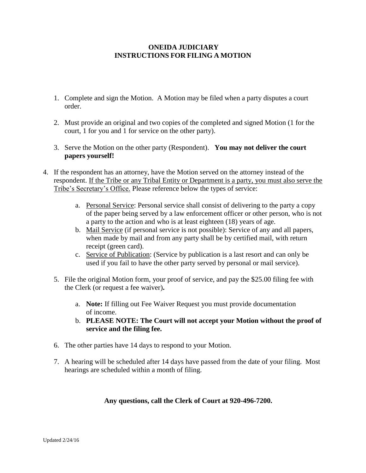## **ONEIDA JUDICIARY INSTRUCTIONS FOR FILING A MOTION**

- 1. Complete and sign the Motion. A Motion may be filed when a party disputes a court order.
- 2. Must provide an original and two copies of the completed and signed Motion (1 for the court, 1 for you and 1 for service on the other party).
- 3. Serve the Motion on the other party (Respondent). **You may not deliver the court papers yourself!**
- 4. If the respondent has an attorney, have the Motion served on the attorney instead of the respondent. If the Tribe or any Tribal Entity or Department is a party, you must also serve the Tribe's Secretary's Office. Please reference below the types of service:
	- a. Personal Service: Personal service shall consist of delivering to the party a copy of the paper being served by a law enforcement officer or other person, who is not a party to the action and who is at least eighteen (18) years of age.
	- b. Mail Service (if personal service is not possible): Service of any and all papers, when made by mail and from any party shall be by certified mail, with return receipt (green card).
	- c. Service of Publication: (Service by publication is a last resort and can only be used if you fail to have the other party served by personal or mail service).
	- 5. File the original Motion form, your proof of service, and pay the \$25.00 filing fee with the Clerk (or request a fee waiver)**.**
		- a. **Note:** If filling out Fee Waiver Request you must provide documentation of income.
		- b. **PLEASE NOTE: The Court will not accept your Motion without the proof of service and the filing fee.**
	- 6. The other parties have 14 days to respond to your Motion.
	- 7. A hearing will be scheduled after 14 days have passed from the date of your filing. Most hearings are scheduled within a month of filing.

## **Any questions, call the Clerk of Court at 920-496-7200.**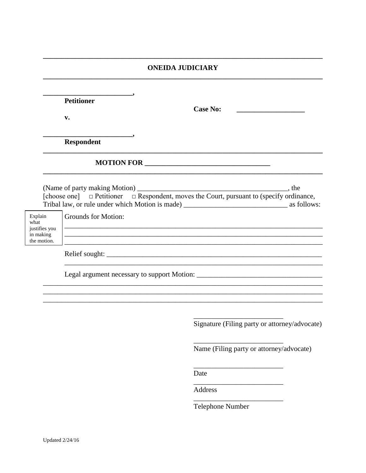## **ONEIDA JUDICIARY**

|                                                              | <b>Petitioner</b><br>v.                       | <b>Case No:</b>                               |  |  |  |
|--------------------------------------------------------------|-----------------------------------------------|-----------------------------------------------|--|--|--|
|                                                              | $\overline{\phantom{a}}$<br><b>Respondent</b> |                                               |  |  |  |
|                                                              |                                               |                                               |  |  |  |
|                                                              |                                               |                                               |  |  |  |
| Explain<br>what<br>justifies you<br>in making<br>the motion. | Grounds for Motion:                           |                                               |  |  |  |
|                                                              |                                               |                                               |  |  |  |
|                                                              |                                               |                                               |  |  |  |
|                                                              |                                               |                                               |  |  |  |
|                                                              |                                               | Signature (Filing party or attorney/advocate) |  |  |  |
|                                                              |                                               | Name (Filing party or attorney/advocate)      |  |  |  |
|                                                              |                                               | Date                                          |  |  |  |

Address

Telephone Number